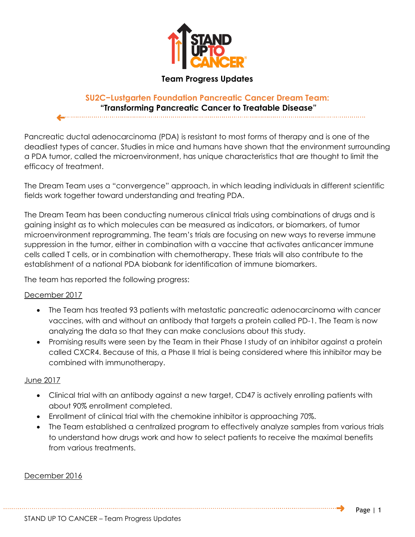

## **Team Progress Updates**

# **SU2C−Lustgarten Foundation Pancreatic Cancer Dream Team: "Transforming Pancreatic Cancer to Treatable Disease"**

Pancreatic ductal adenocarcinoma (PDA) is resistant to most forms of therapy and is one of the deadliest types of cancer. Studies in mice and humans have shown that the environment surrounding a PDA tumor, called the microenvironment, has unique characteristics that are thought to limit the efficacy of treatment.

The Dream Team uses a "convergence" approach, in which leading individuals in different scientific fields work together toward understanding and treating PDA.

The Dream Team has been conducting numerous clinical trials using combinations of drugs and is gaining insight as to which molecules can be measured as indicators, or biomarkers, of tumor microenvironment reprogramming. The team's trials are focusing on new ways to reverse immune suppression in the tumor, either in combination with a vaccine that activates anticancer immune cells called T cells, or in combination with chemotherapy. These trials will also contribute to the establishment of a national PDA biobank for identification of immune biomarkers.

The team has reported the following progress:

## December 2017

- The Team has treated 93 patients with metastatic pancreatic adenocarcinoma with cancer vaccines, with and without an antibody that targets a protein called PD-1. The Team is now analyzing the data so that they can make conclusions about this study.
- Promising results were seen by the Team in their Phase I study of an inhibitor against a protein called CXCR4. Because of this, a Phase II trial is being considered where this inhibitor may be combined with immunotherapy.

## June 2017

- Clinical trial with an antibody against a new target, CD47 is actively enrolling patients with about 90% enrollment completed.
- Enrollment of clinical trial with the chemokine inhibitor is approaching 70%.
- The Team established a centralized program to effectively analyze samples from various trials to understand how drugs work and how to select patients to receive the maximal benefits from various treatments.

## December 2016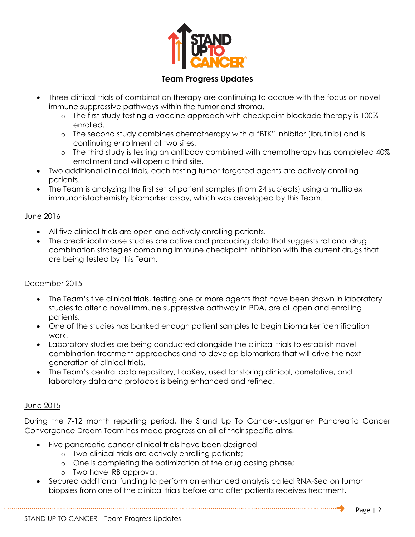

## **Team Progress Updates**

- Three clinical trials of combination therapy are continuing to accrue with the focus on novel immune suppressive pathways within the tumor and stroma.
	- o The first study testing a vaccine approach with checkpoint blockade therapy is 100% enrolled.
	- o The second study combines chemotherapy with a "BTK" inhibitor (ibrutinib) and is continuing enrollment at two sites.
	- o The third study is testing an antibody combined with chemotherapy has completed 40% enrollment and will open a third site.
- Two additional clinical trials, each testing tumor-targeted agents are actively enrolling patients.
- The Team is analyzing the first set of patient samples (from 24 subjects) using a multiplex immunohistochemistry biomarker assay, which was developed by this Team.

#### June 2016

- All five clinical trials are open and actively enrolling patients.
- The preclinical mouse studies are active and producing data that suggests rational drug combination strategies combining immune checkpoint inhibition with the current drugs that are being tested by this Team.

## December 2015

- The Team's five clinical trials, testing one or more agents that have been shown in laboratory studies to alter a novel immune suppressive pathway in PDA, are all open and enrolling patients.
- One of the studies has banked enough patient samples to begin biomarker identification work.
- Laboratory studies are being conducted alongside the clinical trials to establish novel combination treatment approaches and to develop biomarkers that will drive the next generation of clinical trials.
- The Team's central data repository, LabKey, used for storing clinical, correlative, and laboratory data and protocols is being enhanced and refined.

## June 2015

During the 7-12 month reporting period, the Stand Up To Cancer-Lustgarten Pancreatic Cancer Convergence Dream Team has made progress on all of their specific aims.

- Five pancreatic cancer clinical trials have been designed
	- o Two clinical trials are actively enrolling patients;
	- o One is completing the optimization of the drug dosing phase;
	- o Two have IRB approval;
- Secured additional funding to perform an enhanced analysis called RNA-Seq on tumor biopsies from one of the clinical trials before and after patients receives treatment.